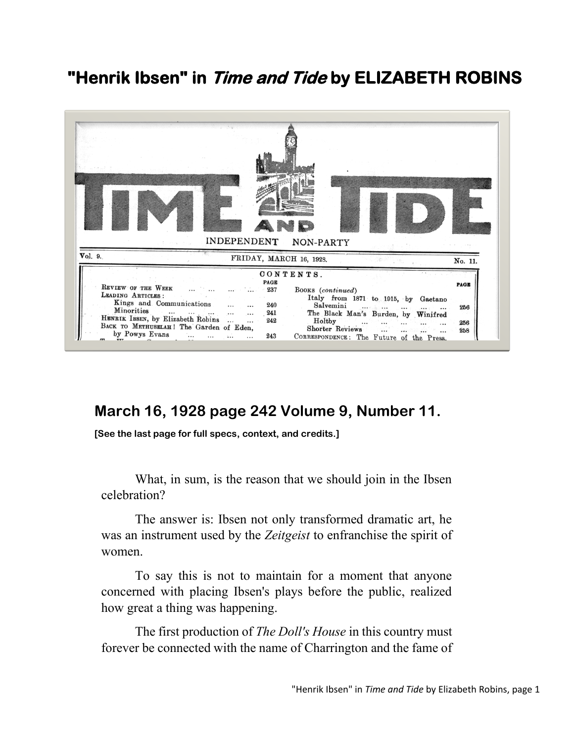## **"Henrik Ibsen" in Time and Tide by ELIZABETH ROBINS**



## **March 16, 1928 page 242 Volume 9, Number 11.**

**[See the last page for full specs, context, and credits.]**

What, in sum, is the reason that we should join in the Ibsen celebration?

The answer is: Ibsen not only transformed dramatic art, he was an instrument used by the *Zeitgeist* to enfranchise the spirit of women.

To say this is not to maintain for a moment that anyone concerned with placing Ibsen's plays before the public, realized how great a thing was happening.

The first production of *The Doll's House* in this country must forever be connected with the name of Charrington and the fame of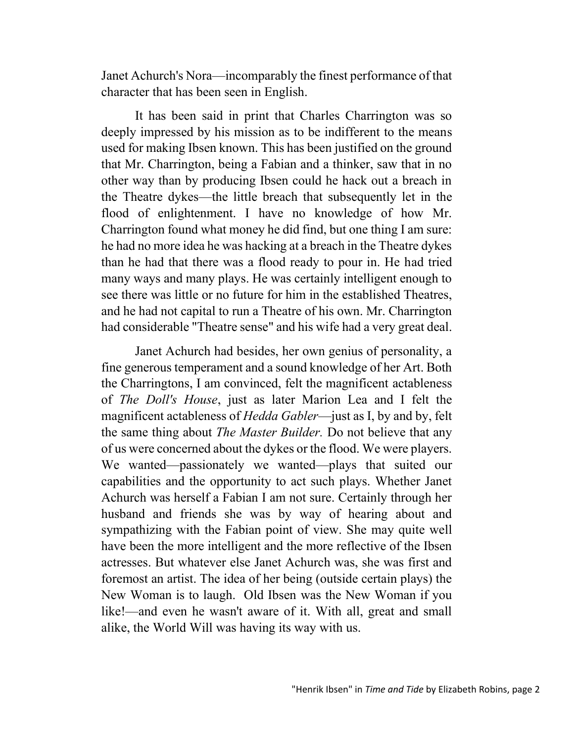Janet Achurch's Nora—incomparably the finest performance of that character that has been seen in English.

It has been said in print that Charles Charrington was so deeply impressed by his mission as to be indifferent to the means used for making Ibsen known. This has been justified on the ground that Mr. Charrington, being a Fabian and a thinker, saw that in no other way than by producing Ibsen could he hack out a breach in the Theatre dykes—the little breach that subsequently let in the flood of enlightenment. I have no knowledge of how Mr. Charrington found what money he did find, but one thing I am sure: he had no more idea he was hacking at a breach in the Theatre dykes than he had that there was a flood ready to pour in. He had tried many ways and many plays. He was certainly intelligent enough to see there was little or no future for him in the established Theatres, and he had not capital to run a Theatre of his own. Mr. Charrington had considerable "Theatre sense" and his wife had a very great deal.

Janet Achurch had besides, her own genius of personality, a fine generous temperament and a sound knowledge of her Art. Both the Charringtons, I am convinced, felt the magnificent actableness of *The Doll's House*, just as later Marion Lea and I felt the magnificent actableness of *Hedda Gabler*—just as I, by and by, felt the same thing about *The Master Builder.* Do not believe that any of us were concerned about the dykes or the flood. We were players. We wanted—passionately we wanted—plays that suited our capabilities and the opportunity to act such plays. Whether Janet Achurch was herself a Fabian I am not sure. Certainly through her husband and friends she was by way of hearing about and sympathizing with the Fabian point of view. She may quite well have been the more intelligent and the more reflective of the Ibsen actresses. But whatever else Janet Achurch was, she was first and foremost an artist. The idea of her being (outside certain plays) the New Woman is to laugh. Old Ibsen was the New Woman if you like!—and even he wasn't aware of it. With all, great and small alike, the World Will was having its way with us.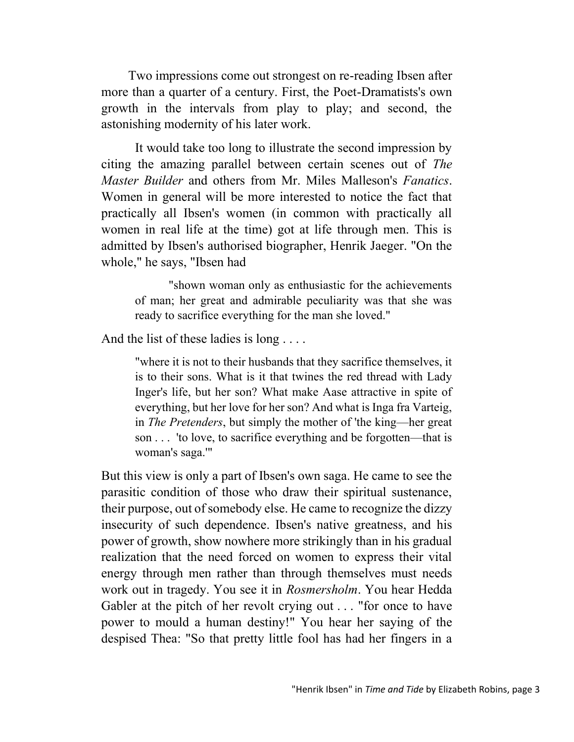Two impressions come out strongest on re-reading Ibsen after more than a quarter of a century. First, the Poet-Dramatists's own growth in the intervals from play to play; and second, the astonishing modernity of his later work.

It would take too long to illustrate the second impression by citing the amazing parallel between certain scenes out of *The Master Builder* and others from Mr. Miles Malleson's *Fanatics*. Women in general will be more interested to notice the fact that practically all Ibsen's women (in common with practically all women in real life at the time) got at life through men. This is admitted by Ibsen's authorised biographer, Henrik Jaeger. "On the whole," he says, "Ibsen had

"shown woman only as enthusiastic for the achievements of man; her great and admirable peculiarity was that she was ready to sacrifice everything for the man she loved."

And the list of these ladies is long ....

"where it is not to their husbands that they sacrifice themselves, it is to their sons. What is it that twines the red thread with Lady Inger's life, but her son? What make Aase attractive in spite of everything, but her love for her son? And what is Inga fra Varteig, in *The Pretenders*, but simply the mother of 'the king—her great son . . . 'to love, to sacrifice everything and be forgotten—that is woman's saga.'"

But this view is only a part of Ibsen's own saga. He came to see the parasitic condition of those who draw their spiritual sustenance, their purpose, out of somebody else. He came to recognize the dizzy insecurity of such dependence. Ibsen's native greatness, and his power of growth, show nowhere more strikingly than in his gradual realization that the need forced on women to express their vital energy through men rather than through themselves must needs work out in tragedy. You see it in *Rosmersholm*. You hear Hedda Gabler at the pitch of her revolt crying out . . . "for once to have power to mould a human destiny!" You hear her saying of the despised Thea: "So that pretty little fool has had her fingers in a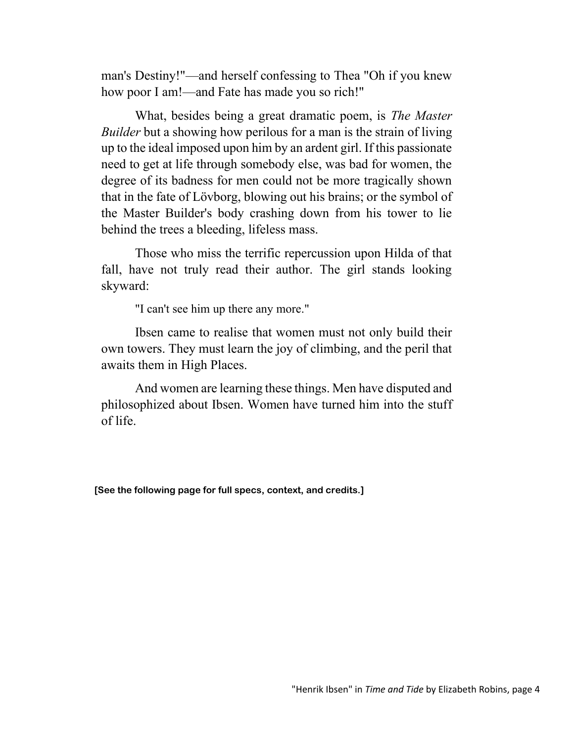man's Destiny!"—and herself confessing to Thea "Oh if you knew how poor I am!—and Fate has made you so rich!"

What, besides being a great dramatic poem, is *The Master Builder* but a showing how perilous for a man is the strain of living up to the ideal imposed upon him by an ardent girl. If this passionate need to get at life through somebody else, was bad for women, the degree of its badness for men could not be more tragically shown that in the fate of Lövborg, blowing out his brains; or the symbol of the Master Builder's body crashing down from his tower to lie behind the trees a bleeding, lifeless mass.

Those who miss the terrific repercussion upon Hilda of that fall, have not truly read their author. The girl stands looking skyward:

"I can't see him up there any more."

Ibsen came to realise that women must not only build their own towers. They must learn the joy of climbing, and the peril that awaits them in High Places.

And women are learning these things. Men have disputed and philosophized about Ibsen. Women have turned him into the stuff of life.

**[See the following page for full specs, context, and credits.]**